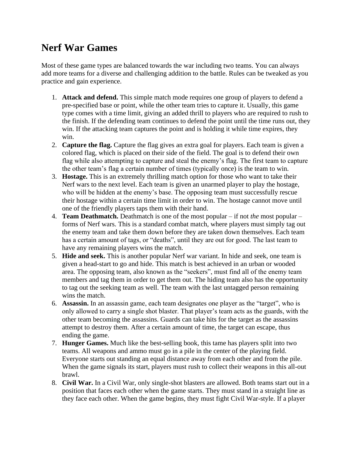## **Nerf War Games**

Most of these game types are balanced towards the war including two teams. You can always add more teams for a diverse and challenging addition to the battle. Rules can be tweaked as you practice and gain experience.

- 1. **Attack and defend.** This simple match mode requires one group of players to defend a pre-specified base or point, while the other team tries to capture it. Usually, this game type comes with a time limit, giving an added thrill to players who are required to rush to the finish. If the defending team continues to defend the point until the time runs out, they win. If the attacking team captures the point and is holding it while time expires, they win.
- 2. **Capture the flag.** Capture the flag gives an extra goal for players. Each team is given a colored flag, which is placed on their side of the field. The goal is to defend their own flag while also attempting to capture and steal the enemy's flag. The first team to capture the other team's flag a certain number of times (typically once) is the team to win.
- 3. **Hostage.** This is an extremely thrilling match option for those who want to take their Nerf wars to the next level. Each team is given an unarmed player to play the hostage, who will be hidden at the enemy's base. The opposing team must successfully rescue their hostage within a certain time limit in order to win. The hostage cannot move until one of the friendly players taps them with their hand.
- 4. **Team Deathmatch.** Deathmatch is one of the most popular if not *the* most popular forms of Nerf wars. This is a standard combat match, where players must simply tag out the enemy team and take them down before they are taken down themselves. Each team has a certain amount of tags, or "deaths", until they are out for good. The last team to have any remaining players wins the match.
- 5. **Hide and seek.** This is another popular Nerf war variant. In hide and seek, one team is given a head-start to go and hide. This match is best achieved in an urban or wooded area. The opposing team, also known as the "seekers", must find all of the enemy team members and tag them in order to get them out. The hiding team also has the opportunity to tag out the seeking team as well. The team with the last untagged person remaining wins the match.
- 6. **Assassin.** In an assassin game, each team designates one player as the "target", who is only allowed to carry a single shot blaster. That player's team acts as the guards, with the other team becoming the assassins. Guards can take hits for the target as the assassins attempt to destroy them. After a certain amount of time, the target can escape, thus ending the game.
- 7. **Hunger Games.** Much like the best-selling book, this tame has players split into two teams. All weapons and ammo must go in a pile in the center of the playing field. Everyone starts out standing an equal distance away from each other and from the pile. When the game signals its start, players must rush to collect their weapons in this all-out brawl.
- 8. **Civil War.** In a Civil War, only single-shot blasters are allowed. Both teams start out in a position that faces each other when the game starts. They must stand in a straight line as they face each other. When the game begins, they must fight Civil War-style. If a player